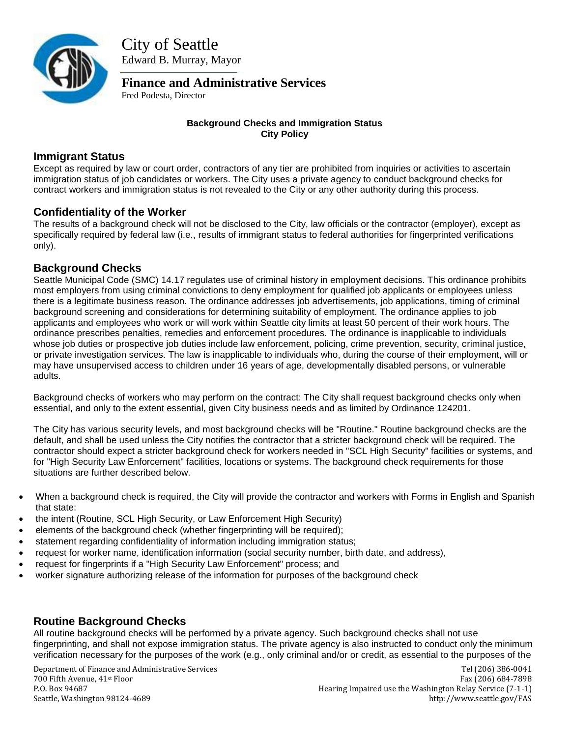

City of Seattle Edward B. Murray, Mayor

**Finance and Administrative Services**

Fred Podesta, Director

#### **Background Checks and Immigration Status City Policy**

# **Immigrant Status**

Except as required by law or court order, contractors of any tier are prohibited from inquiries or activities to ascertain immigration status of job candidates or workers. The City uses a private agency to conduct background checks for contract workers and immigration status is not revealed to the City or any other authority during this process.

# **Confidentiality of the Worker**

The results of a background check will not be disclosed to the City, law officials or the contractor (employer), except as specifically required by federal law (i.e., results of immigrant status to federal authorities for fingerprinted verifications only).

# **Background Checks**

Seattle Municipal Code (SMC) 14.17 regulates use of criminal history in employment decisions. This ordinance prohibits most employers from using criminal convictions to deny employment for qualified job applicants or employees unless there is a legitimate business reason. The ordinance addresses job advertisements, job applications, timing of criminal background screening and considerations for determining suitability of employment. The ordinance applies to job applicants and employees who work or will work within Seattle city limits at least 50 percent of their work hours. The ordinance prescribes penalties, remedies and enforcement procedures. The ordinance is inapplicable to individuals whose job duties or prospective job duties include law enforcement, policing, crime prevention, security, criminal justice, or private investigation services. The law is inapplicable to individuals who, during the course of their employment, will or may have unsupervised access to children under 16 years of age, developmentally disabled persons, or vulnerable adults.

Background checks of workers who may perform on the contract: The City shall request background checks only when essential, and only to the extent essential, given City business needs and as limited by Ordinance 124201.

The City has various security levels, and most background checks will be "Routine." Routine background checks are the default, and shall be used unless the City notifies the contractor that a stricter background check will be required. The contractor should expect a stricter background check for workers needed in "SCL High Security" facilities or systems, and for "High Security Law Enforcement" facilities, locations or systems. The background check requirements for those situations are further described below.

- When a background check is required, the City will provide the contractor and workers with Forms in English and Spanish that state:
- the intent (Routine, SCL High Security, or Law Enforcement High Security)
- elements of the background check (whether fingerprinting will be required);
- statement regarding confidentiality of information including immigration status;
- request for worker name, identification information (social security number, birth date, and address),
- request for fingerprints if a "High Security Law Enforcement" process; and
- worker signature authorizing release of the information for purposes of the background check

# **Routine Background Checks**

All routine background checks will be performed by a private agency. Such background checks shall not use fingerprinting, and shall not expose immigration status. The private agency is also instructed to conduct only the minimum verification necessary for the purposes of the work (e.g., only criminal and/or or credit, as essential to the purposes of the

Department of Finance and Administrative Services Tell (206) 386-0041 700 Fifth Avenue, 41st Floor Fax (206) 684-7898 P.O. Box 94687 Hearing Impaired use the Washington Relay Service (7-1-1) Seattle, Washington 98124-4689 http://www.seattle.gov/FAS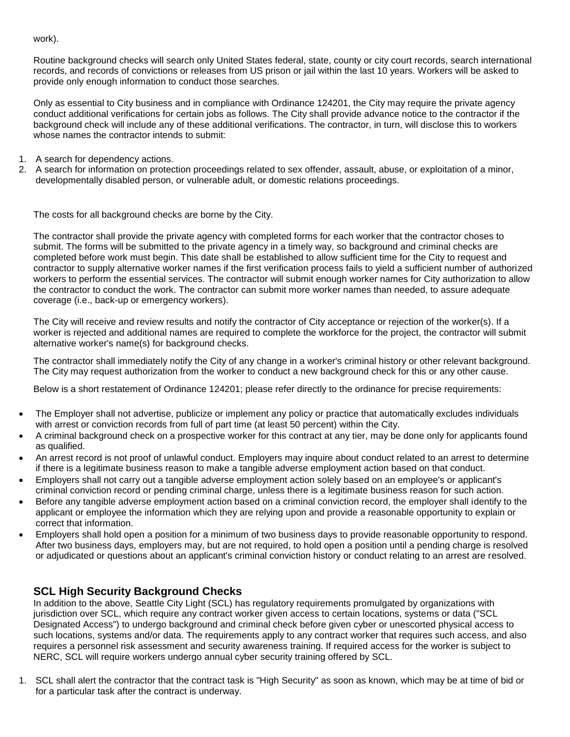work).

Routine background checks will search only United States federal, state, county or city court records, search international records, and records of convictions or releases from US prison or jail within the last 10 years. Workers will be asked to provide only enough information to conduct those searches.

Only as essential to City business and in compliance with Ordinance 124201, the City may require the private agency conduct additional verifications for certain jobs as follows. The City shall provide advance notice to the contractor if the background check will include any of these additional verifications. The contractor, in turn, will disclose this to workers whose names the contractor intends to submit:

- 1. A search for dependency actions.
- 2. A search for information on protection proceedings related to sex offender, assault, abuse, or exploitation of a minor, developmentally disabled person, or vulnerable adult, or domestic relations proceedings.

The costs for all background checks are borne by the City.

The contractor shall provide the private agency with completed forms for each worker that the contractor choses to submit. The forms will be submitted to the private agency in a timely way, so background and criminal checks are completed before work must begin. This date shall be established to allow sufficient time for the City to request and contractor to supply alternative worker names if the first verification process fails to yield a sufficient number of authorized workers to perform the essential services. The contractor will submit enough worker names for City authorization to allow the contractor to conduct the work. The contractor can submit more worker names than needed, to assure adequate coverage (i.e., back-up or emergency workers).

The City will receive and review results and notify the contractor of City acceptance or rejection of the worker(s). If a worker is rejected and additional names are required to complete the workforce for the project, the contractor will submit alternative worker's name(s) for background checks.

The contractor shall immediately notify the City of any change in a worker's criminal history or other relevant background. The City may request authorization from the worker to conduct a new background check for this or any other cause.

Below is a short restatement of Ordinance 124201; please refer directly to the ordinance for precise requirements:

- The Employer shall not advertise, publicize or implement any policy or practice that automatically excludes individuals with arrest or conviction records from full of part time (at least 50 percent) within the City.
- A criminal background check on a prospective worker for this contract at any tier, may be done only for applicants found as qualified.
- An arrest record is not proof of unlawful conduct. Employers may inquire about conduct related to an arrest to determine if there is a legitimate business reason to make a tangible adverse employment action based on that conduct.
- Employers shall not carry out a tangible adverse employment action solely based on an employee's or applicant's criminal conviction record or pending criminal charge, unless there is a legitimate business reason for such action.
- Before any tangible adverse employment action based on a criminal conviction record, the employer shall identify to the applicant or employee the information which they are relying upon and provide a reasonable opportunity to explain or correct that information.
- Employers shall hold open a position for a minimum of two business days to provide reasonable opportunity to respond. After two business days, employers may, but are not required, to hold open a position until a pending charge is resolved or adjudicated or questions about an applicant's criminal conviction history or conduct relating to an arrest are resolved.

#### **SCL High Security Background Checks**

In addition to the above, Seattle City Light (SCL) has regulatory requirements promulgated by organizations with jurisdiction over SCL, which require any contract worker given access to certain locations, systems or data ("SCL Designated Access") to undergo background and criminal check before given cyber or unescorted physical access to such locations, systems and/or data. The requirements apply to any contract worker that requires such access, and also requires a personnel risk assessment and security awareness training. If required access for the worker is subject to NERC, SCL will require workers undergo annual cyber security training offered by SCL.

1. SCL shall alert the contractor that the contract task is "High Security" as soon as known, which may be at time of bid or for a particular task after the contract is underway.